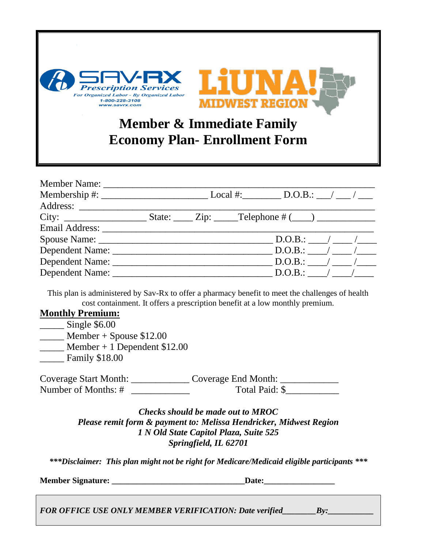

| Member Name: |                                                                                       |  |
|--------------|---------------------------------------------------------------------------------------|--|
|              |                                                                                       |  |
|              |                                                                                       |  |
|              |                                                                                       |  |
|              |                                                                                       |  |
|              | $D.O.B.:$ / /                                                                         |  |
|              | $D.O.B.:$ / /                                                                         |  |
|              | Dependent Name: $\underline{\hspace{1cm}}$ D.O.B.: $\underline{\hspace{1cm}}$ / ___ / |  |
|              |                                                                                       |  |

This plan is administered by Sav-Rx to offer a pharmacy benefit to meet the challenges of health cost containment. It offers a prescription benefit at a low monthly premium.

## **Monthly Premium:**

\_\_\_\_\_\_ Single \$6.00

 $\frac{M}{2}$  Member + Spouse \$12.00

 $\frac{1}{2}$  Member + 1 Dependent \$12.00

Family \$18.00

Coverage Start Month: \_\_\_\_\_\_\_\_\_\_\_\_\_\_\_ Coverage End Month: \_\_\_\_\_\_\_\_\_\_\_\_\_\_\_\_\_\_\_\_\_\_ Number of Months: # \_\_\_\_\_\_\_\_\_\_\_\_ Total Paid: \$\_\_\_\_\_\_\_\_\_\_\_

> *Checks should be made out to MROC Please remit form & payment to: Melissa Hendricker, Midwest Region 1 N Old State Capitol Plaza, Suite 525 Springfield, IL 62701*

*\*\*\*Disclaimer: This plan might not be right for Medicare/Medicaid eligible participants \*\*\**

**Member Signature: \_\_\_\_\_\_\_\_\_\_\_\_\_\_\_\_\_\_\_\_\_\_\_\_\_\_\_\_\_\_\_\_Date:\_\_\_\_\_\_\_\_\_\_\_\_\_\_\_\_\_**

*FOR OFFICE USE ONLY MEMBER VERIFICATION: Date verified\_\_\_\_\_\_\_\_By:\_\_\_\_\_\_\_\_\_\_\_*